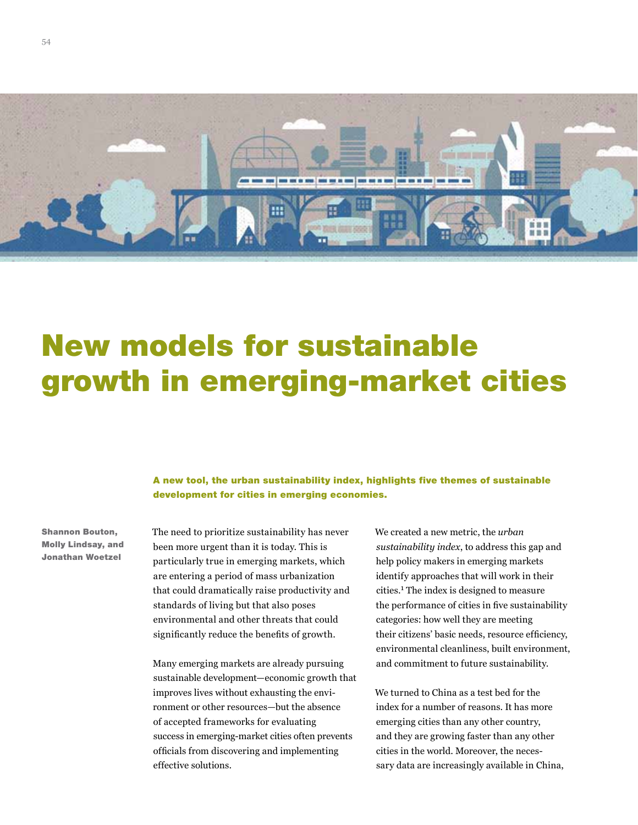

# New models for sustainable growth in emerging-market cities

## A new tool, the urban sustainability index, highlights five themes of sustainable development for cities in emerging economies.

Shannon Bouton, Molly Lindsay, and Jonathan Woetzel

The need to prioritize sustainability has never been more urgent than it is today. This is particularly true in emerging markets, which are entering a period of mass urbanization that could dramatically raise productivity and standards of living but that also poses environmental and other threats that could significantly reduce the benefits of growth.

Many emerging markets are already pursuing sustainable development—economic growth that improves lives without exhausting the environment or other resources—but the absence of accepted frameworks for evaluating success in emerging-market cities often prevents officials from discovering and implementing effective solutions.

We created a new metric, the *urban sustainability index*, to address this gap and help policy makers in emerging markets identify approaches that will work in their cities.1 The index is designed to measure the performance of cities in five sustainability categories: how well they are meeting their citizens' basic needs, resource efficiency, environmental cleanliness, built environment, and commitment to future sustainability.

We turned to China as a test bed for the index for a number of reasons. It has more emerging cities than any other country, and they are growing faster than any other cities in the world. Moreover, the necessary data are increasingly available in China,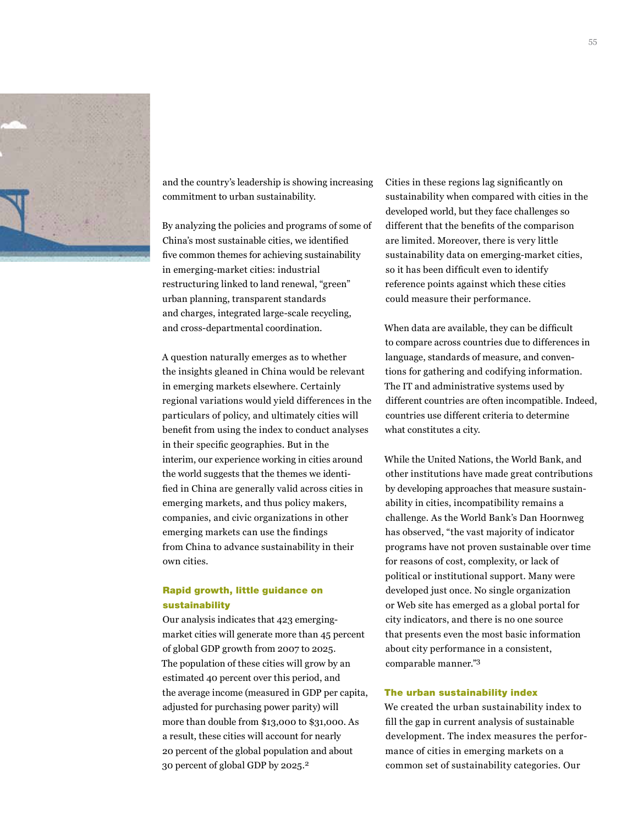

and the country's leadership is showing increasing commitment to urban sustainability.

By analyzing the policies and programs of some of China's most sustainable cities, we identified five common themes for achieving sustainability in emerging-market cities: industrial restructuring linked to land renewal, "green" urban planning, transparent standards and charges, integrated large-scale recycling, and cross-departmental coordination.

A question naturally emerges as to whether the insights gleaned in China would be relevant in emerging markets elsewhere. Certainly regional variations would yield differences in the particulars of policy, and ultimately cities will benefit from using the index to conduct analyses in their specific geographies. But in the interim, our experience working in cities around the world suggests that the themes we identified in China are generally valid across cities in emerging markets, and thus policy makers, companies, and civic organizations in other emerging markets can use the findings from China to advance sustainability in their own cities.

### Rapid growth, little guidance on sustainability

Our analysis indicates that 423 emergingmarket cities will generate more than 45 percent of global GDP growth from 2007 to 2025. The population of these cities will grow by an estimated 40 percent over this period, and the average income (measured in GDP per capita, adjusted for purchasing power parity) will more than double from \$13,000 to \$31,000. As a result, these cities will account for nearly 20 percent of the global population and about 30 percent of global GDP by 2025.<sup>2</sup>

Cities in these regions lag significantly on sustainability when compared with cities in the developed world, but they face challenges so different that the benefits of the comparison are limited. Moreover, there is very little sustainability data on emerging-market cities, so it has been difficult even to identify reference points against which these cities could measure their performance.

When data are available, they can be difficult to compare across countries due to differences in language, standards of measure, and conventions for gathering and codifying information. The IT and administrative systems used by different countries are often incompatible. Indeed, countries use different criteria to determine what constitutes a city.

While the United Nations, the World Bank, and other institutions have made great contributions by developing approaches that measure sustainability in cities, incompatibility remains a challenge. As the World Bank's Dan Hoornweg has observed, "the vast majority of indicator programs have not proven sustainable over time for reasons of cost, complexity, or lack of political or institutional support. Many were developed just once. No single organization or Web site has emerged as a global portal for city indicators, and there is no one source that presents even the most basic information about city performance in a consistent, comparable manner."3

#### The urban sustainability index

We created the urban sustainability index to fill the gap in current analysis of sustainable development. The index measures the performance of cities in emerging markets on a common set of sustainability categories. Our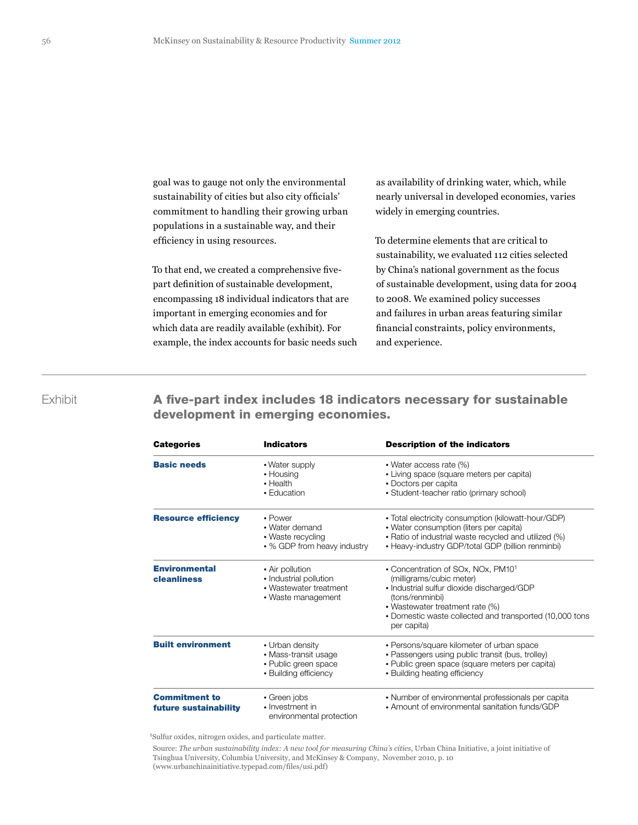goal was to gauge not only the environmental sustainability of cities but also city officials' commitment to handling their growing urban populations in a sustainable way, and their efficiency in using resources.

To that end, we created a comprehensive fivepart definition of sustainable development, encompassing 18 individual indicators that are important in emerging economies and for which data are readily available (exhibit). For example, the index accounts for basic needs such

as availability of drinking water, which, while nearly universal in developed economies, varies widely in emerging countries.

To determine elements that are critical to sustainability, we evaluated 112 cities selected by China's national government as the focus of sustainable development, using data for 2004 to 2008. We examined policy successes and failures in urban areas featuring similar financial constraints, policy environments, and experience.

Exhibit **A five-part index includes 18 indicators necessary for sustainable** development in emerging economies.

| <b>Categories</b>                             | <b>Indicators</b>                                                                         | <b>Description of the indicators</b><br>• Water access rate (%)<br>• Living space (square meters per capita)<br>• Doctors per capita<br>• Student-teacher ratio (primary school)<br>• Total electricity consumption (kilowatt-hour/GDP)<br>• Water consumption (liters per capita)<br>• Ratio of industrial waste recycled and utilized (%)<br>• Heavy-industry GDP/total GDP (billion renminbi) |  |
|-----------------------------------------------|-------------------------------------------------------------------------------------------|--------------------------------------------------------------------------------------------------------------------------------------------------------------------------------------------------------------------------------------------------------------------------------------------------------------------------------------------------------------------------------------------------|--|
| <b>Basic needs</b>                            | • Water supply<br>• Housing<br>• Health<br>• Education                                    |                                                                                                                                                                                                                                                                                                                                                                                                  |  |
| <b>Resource efficiency</b>                    | • Power<br>• Water demand<br>• Waste recycling<br>• % GDP from heavy industry             |                                                                                                                                                                                                                                                                                                                                                                                                  |  |
| <b>Environmental</b><br>cleanliness           | • Air pollution<br>• Industrial pollution<br>• Wastewater treatment<br>• Waste management | • Concentration of SOx, NOx, PM101<br>(milligrams/cubic meter)<br>• Industrial sulfur dioxide discharged/GDP<br>(tons/renminbi)<br>• Wastewater treatment rate (%)<br>• Domestic waste collected and transported (10,000 tons<br>per capita)                                                                                                                                                     |  |
| <b>Built environment</b>                      | • Urban density<br>• Mass-transit usage<br>• Public green space<br>• Building efficiency  | • Persons/square kilometer of urban space<br>• Passengers using public transit (bus, trolley)<br>• Public green space (square meters per capita)<br>• Building heating efficiency                                                                                                                                                                                                                |  |
| <b>Commitment to</b><br>future sustainability | • Green jobs<br>• Investment in<br>environmental protection                               | • Number of environmental professionals per capita<br>• Amount of environmental sanitation funds/GDP                                                                                                                                                                                                                                                                                             |  |

1Sulfur oxides, nitrogen oxides, and particulate matter.

 Source: *The urban sustainability index: A new tool for measuring China's cities*, Urban China Initiative, a joint initiative of Tsinghua University, Columbia University, and McKinsey & Company, November 2010, p. 10 (www.urbanchinainitiative.typepad.com/files/usi.pdf)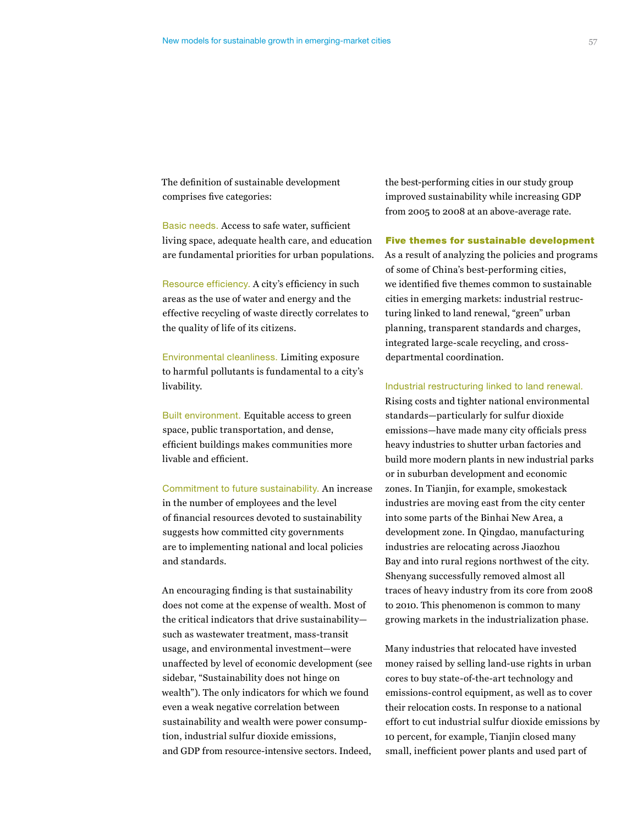The definition of sustainable development comprises five categories:

Basic needs. Access to safe water, sufficient living space, adequate health care, and education are fundamental priorities for urban populations.

Resource efficiency. A city's efficiency in such areas as the use of water and energy and the effective recycling of waste directly correlates to the quality of life of its citizens.

Environmental cleanliness. Limiting exposure to harmful pollutants is fundamental to a city's livability.

Built environment. Equitable access to green space, public transportation, and dense, efficient buildings makes communities more livable and efficient.

Commitment to future sustainability. An increase in the number of employees and the level of financial resources devoted to sustainability suggests how committed city governments are to implementing national and local policies and standards.

An encouraging finding is that sustainability does not come at the expense of wealth. Most of the critical indicators that drive sustainability such as wastewater treatment, mass-transit usage, and environmental investment—were unaffected by level of economic development (see sidebar, "Sustainability does not hinge on wealth"). The only indicators for which we found even a weak negative correlation between sustainability and wealth were power consumption, industrial sulfur dioxide emissions, and GDP from resource-intensive sectors. Indeed,

the best-performing cities in our study group improved sustainability while increasing GDP from 2005 to 2008 at an above-average rate.

#### Five themes for sustainable development

As a result of analyzing the policies and programs of some of China's best-performing cities, we identified five themes common to sustainable cities in emerging markets: industrial restructuring linked to land renewal, "green" urban planning, transparent standards and charges, integrated large-scale recycling, and crossdepartmental coordination.

#### Industrial restructuring linked to land renewal.

Rising costs and tighter national environmental standards—particularly for sulfur dioxide emissions—have made many city officials press heavy industries to shutter urban factories and build more modern plants in new industrial parks or in suburban development and economic zones. In Tianjin, for example, smokestack industries are moving east from the city center into some parts of the Binhai New Area, a development zone. In Qingdao, manufacturing industries are relocating across Jiaozhou Bay and into rural regions northwest of the city. Shenyang successfully removed almost all traces of heavy industry from its core from 2008 to 2010. This phenomenon is common to many growing markets in the industrialization phase.

Many industries that relocated have invested money raised by selling land-use rights in urban cores to buy state-of-the-art technology and emissions-control equipment, as well as to cover their relocation costs. In response to a national effort to cut industrial sulfur dioxide emissions by 10 percent, for example, Tianjin closed many small, inefficient power plants and used part of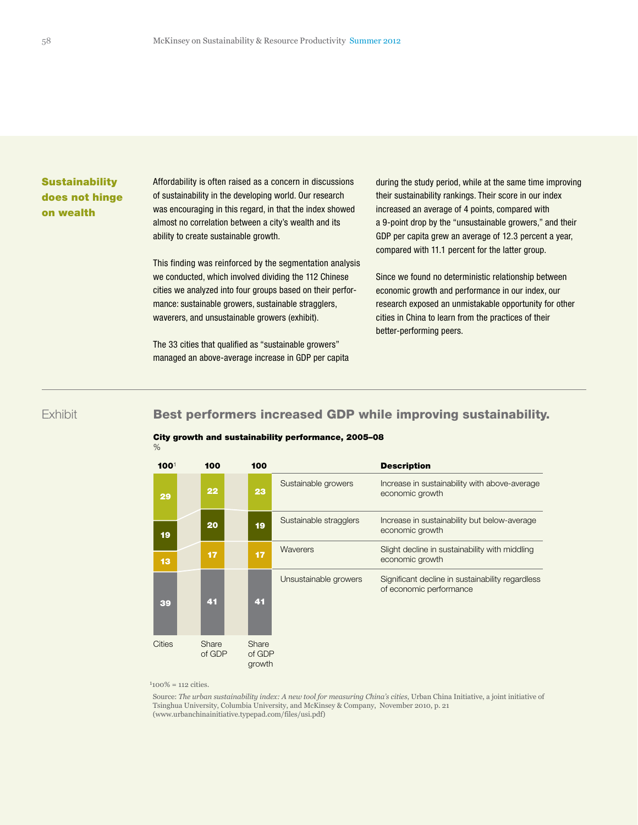# **Sustainability** does not hinge on wealth

Affordability is often raised as a concern in discussions of sustainability in the developing world. Our research was encouraging in this regard, in that the index showed almost no correlation between a city's wealth and its ability to create sustainable growth.

This finding was reinforced by the segmentation analysis we conducted, which involved dividing the 112 Chinese cities we analyzed into four groups based on their perforonce we analyzed michal groups bacca on alon per waverers, and unsustainable growers (exhibit). Exhibit 2 of 2

The 33 cities that qualified as "sustainable growers" managed an above-average increase in GDP per capita during the study period, while at the same time improving their sustainability rankings. Their score in our index increased an average of 4 points, compared with a 9-point drop by the "unsustainable growers," and their GDP per capita grew an average of 12.3 percent a year, compared with 11.1 percent for the latter group.

Since we found no deterministic relationship between economic growth and performance in our index, our research exposed an unmistakable opportunity for other cities in China to learn from the practices of their better-performing peers.

# **Exhibit**

# Best performers increased GDP while improving sustainability.

#### City growth and sustainability performance, 2005–08  $\%$

| 100 <sup>1</sup> | 100             | 100                       |                        | <b>Description</b>                                                          |
|------------------|-----------------|---------------------------|------------------------|-----------------------------------------------------------------------------|
| 29               | 22              | 23                        | Sustainable growers    | Increase in sustainability with above-average<br>economic growth            |
| 19               | 20              | 19                        | Sustainable stragglers | Increase in sustainability but below-average<br>economic growth             |
| 13               | 17              | 17                        | Waverers               | Slight decline in sustainability with middling<br>economic growth           |
| 39               | 41              | 41                        | Unsustainable growers  | Significant decline in sustainability regardless<br>of economic performance |
| <b>Cities</b>    | Share<br>of GDP | Share<br>of GDP<br>growth |                        |                                                                             |

 $1100\% = 112$  cities.

 Source: *The urban sustainability index: A new tool for measuring China's cities*, Urban China Initiative, a joint initiative of Tsinghua University, Columbia University, and McKinsey & Company, November 2010, p. 21 (www.urbanchinainitiative.typepad.com/files/usi.pdf)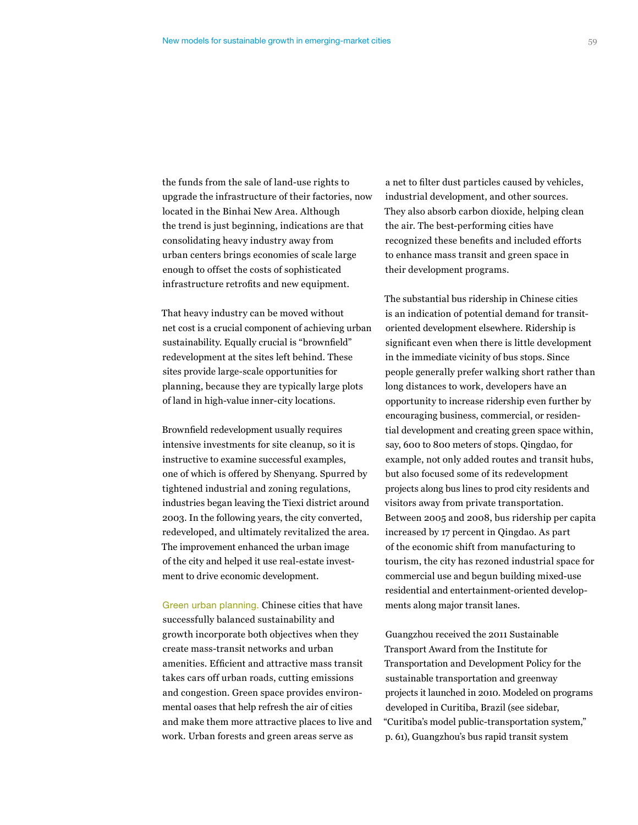the funds from the sale of land-use rights to upgrade the infrastructure of their factories, now located in the Binhai New Area. Although the trend is just beginning, indications are that consolidating heavy industry away from urban centers brings economies of scale large enough to offset the costs of sophisticated infrastructure retrofits and new equipment.

That heavy industry can be moved without net cost is a crucial component of achieving urban sustainability. Equally crucial is "brownfield" redevelopment at the sites left behind. These sites provide large-scale opportunities for planning, because they are typically large plots of land in high-value inner-city locations.

Brownfield redevelopment usually requires intensive investments for site cleanup, so it is instructive to examine successful examples, one of which is offered by Shenyang. Spurred by tightened industrial and zoning regulations, industries began leaving the Tiexi district around 2003. In the following years, the city converted, redeveloped, and ultimately revitalized the area. The improvement enhanced the urban image of the city and helped it use real-estate investment to drive economic development.

Green urban planning. Chinese cities that have successfully balanced sustainability and growth incorporate both objectives when they create mass-transit networks and urban amenities. Efficient and attractive mass transit takes cars off urban roads, cutting emissions and congestion. Green space provides environmental oases that help refresh the air of cities and make them more attractive places to live and work. Urban forests and green areas serve as

a net to filter dust particles caused by vehicles, industrial development, and other sources. They also absorb carbon dioxide, helping clean the air. The best-performing cities have recognized these benefits and included efforts to enhance mass transit and green space in their development programs.

The substantial bus ridership in Chinese cities is an indication of potential demand for transitoriented development elsewhere. Ridership is significant even when there is little development in the immediate vicinity of bus stops. Since people generally prefer walking short rather than long distances to work, developers have an opportunity to increase ridership even further by encouraging business, commercial, or residential development and creating green space within, say, 600 to 800 meters of stops. Qingdao, for example, not only added routes and transit hubs, but also focused some of its redevelopment projects along bus lines to prod city residents and visitors away from private transportation. Between 2005 and 2008, bus ridership per capita increased by 17 percent in Qingdao. As part of the economic shift from manufacturing to tourism, the city has rezoned industrial space for commercial use and begun building mixed-use residential and entertainment-oriented developments along major transit lanes.

Guangzhou received the 2011 Sustainable Transport Award from the Institute for Transportation and Development Policy for the sustainable transportation and greenway projects it launched in 2010. Modeled on programs developed in Curitiba, Brazil (see sidebar, "Curitiba's model public-transportation system," p. 61), Guangzhou's bus rapid transit system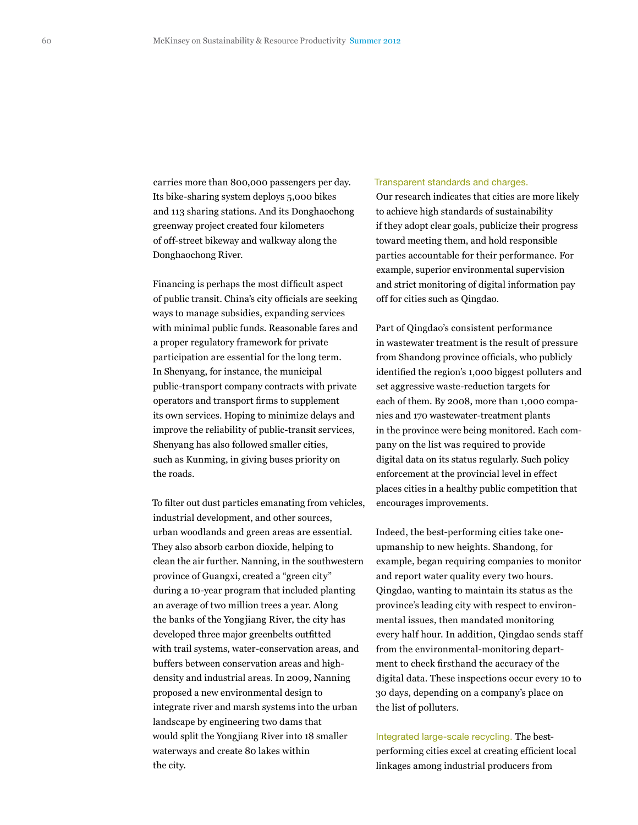carries more than 800,000 passengers per day. Its bike-sharing system deploys 5,000 bikes and 113 sharing stations. And its Donghaochong greenway project created four kilometers of off-street bikeway and walkway along the Donghaochong River.

Financing is perhaps the most difficult aspect of public transit. China's city officials are seeking ways to manage subsidies, expanding services with minimal public funds. Reasonable fares and a proper regulatory framework for private participation are essential for the long term. In Shenyang, for instance, the municipal public-transport company contracts with private operators and transport firms to supplement its own services. Hoping to minimize delays and improve the reliability of public-transit services, Shenyang has also followed smaller cities, such as Kunming, in giving buses priority on the roads.

To filter out dust particles emanating from vehicles, industrial development, and other sources, urban woodlands and green areas are essential. They also absorb carbon dioxide, helping to clean the air further. Nanning, in the southwestern province of Guangxi, created a "green city" during a 10-year program that included planting an average of two million trees a year. Along the banks of the Yongjiang River, the city has developed three major greenbelts outfitted with trail systems, water-conservation areas, and buffers between conservation areas and highdensity and industrial areas. In 2009, Nanning proposed a new environmental design to integrate river and marsh systems into the urban landscape by engineering two dams that would split the Yongjiang River into 18 smaller waterways and create 80 lakes within the city.

#### Transparent standards and charges.

Our research indicates that cities are more likely to achieve high standards of sustainability if they adopt clear goals, publicize their progress toward meeting them, and hold responsible parties accountable for their performance. For example, superior environmental supervision and strict monitoring of digital information pay off for cities such as Qingdao.

Part of Qingdao's consistent performance in wastewater treatment is the result of pressure from Shandong province officials, who publicly identified the region's 1,000 biggest polluters and set aggressive waste-reduction targets for each of them. By 2008, more than 1,000 companies and 170 wastewater-treatment plants in the province were being monitored. Each company on the list was required to provide digital data on its status regularly. Such policy enforcement at the provincial level in effect places cities in a healthy public competition that encourages improvements.

Indeed, the best-performing cities take oneupmanship to new heights. Shandong, for example, began requiring companies to monitor and report water quality every two hours. Qingdao, wanting to maintain its status as the province's leading city with respect to environmental issues, then mandated monitoring every half hour. In addition, Qingdao sends staff from the environmental-monitoring department to check firsthand the accuracy of the digital data. These inspections occur every 10 to 30 days, depending on a company's place on the list of polluters.

Integrated large-scale recycling. The bestperforming cities excel at creating efficient local linkages among industrial producers from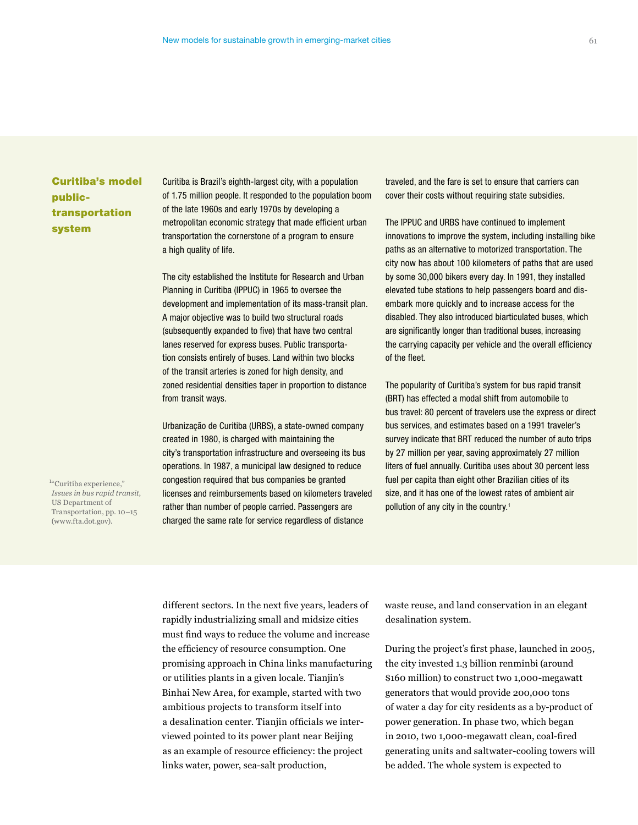# Curitiba's model publictransportation system

Curitiba is Brazil's eighth-largest city, with a population of 1.75 million people. It responded to the population boom of the late 1960s and early 1970s by developing a metropolitan economic strategy that made efficient urban transportation the cornerstone of a program to ensure a high quality of life.

The city established the Institute for Research and Urban Planning in Curitiba (IPPUC) in 1965 to oversee the development and implementation of its mass-transit plan. A major objective was to build two structural roads (subsequently expanded to five) that have two central lanes reserved for express buses. Public transportation consists entirely of buses. Land within two blocks of the transit arteries is zoned for high density, and zoned residential densities taper in proportion to distance from transit ways.

Urbanização de Curitiba (URBS), a state-owned company created in 1980, is charged with maintaining the city's transportation infrastructure and overseeing its bus operations. In 1987, a municipal law designed to reduce congestion required that bus companies be granted licenses and reimbursements based on kilometers traveled rather than number of people carried. Passengers are charged the same rate for service regardless of distance

traveled, and the fare is set to ensure that carriers can cover their costs without requiring state subsidies.

The IPPUC and URBS have continued to implement innovations to improve the system, including installing bike paths as an alternative to motorized transportation. The city now has about 100 kilometers of paths that are used by some 30,000 bikers every day. In 1991, they installed elevated tube stations to help passengers board and disembark more quickly and to increase access for the disabled. They also introduced biarticulated buses, which are significantly longer than traditional buses, increasing the carrying capacity per vehicle and the overall efficiency of the fleet.

The popularity of Curitiba's system for bus rapid transit (BRT) has effected a modal shift from automobile to bus travel: 80 percent of travelers use the express or direct bus services, and estimates based on a 1991 traveler's survey indicate that BRT reduced the number of auto trips by 27 million per year, saving approximately 27 million liters of fuel annually. Curitiba uses about 30 percent less fuel per capita than eight other Brazilian cities of its size, and it has one of the lowest rates of ambient air pollution of any city in the country.<sup>1</sup>

1 "Curitiba experience," *Issues in bus rapid transit*, US Department of Transportation, pp. 10–15 (www.fta.dot.gov).

> different sectors. In the next five years, leaders of rapidly industrializing small and midsize cities must find ways to reduce the volume and increase the efficiency of resource consumption. One promising approach in China links manufacturing or utilities plants in a given locale. Tianjin's Binhai New Area, for example, started with two ambitious projects to transform itself into a desalination center. Tianjin officials we interviewed pointed to its power plant near Beijing as an example of resource efficiency: the project links water, power, sea-salt production,

waste reuse, and land conservation in an elegant desalination system.

During the project's first phase, launched in 2005, the city invested 1.3 billion renminbi (around \$160 million) to construct two 1,000-megawatt generators that would provide 200,000 tons of water a day for city residents as a by-product of power generation. In phase two, which began in 2010, two 1,000-megawatt clean, coal-fired generating units and saltwater-cooling towers will be added. The whole system is expected to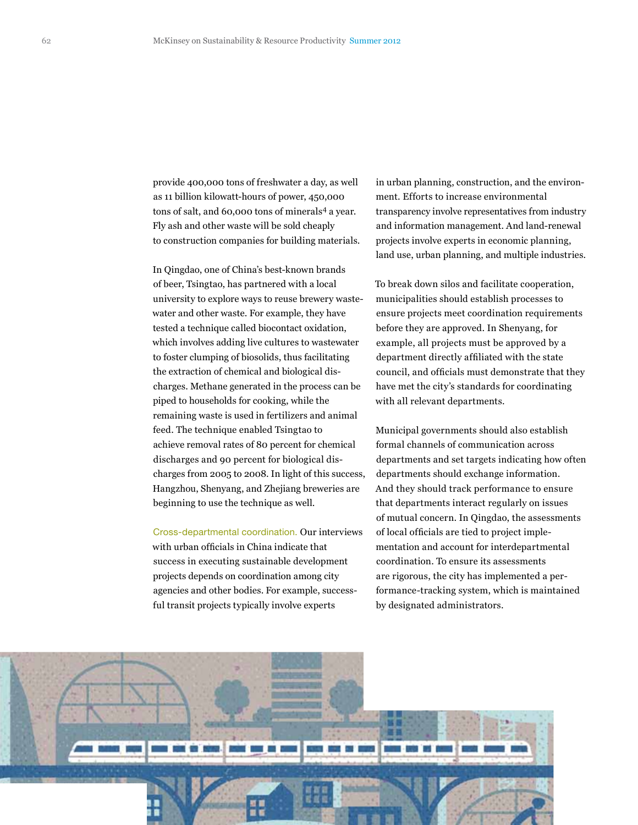provide 400,000 tons of freshwater a day, as well as 11 billion kilowatt-hours of power, 450,000 tons of salt, and 60,000 tons of minerals<sup>4</sup> a year. Fly ash and other waste will be sold cheaply to construction companies for building materials.

In Qingdao, one of China's best-known brands of beer, Tsingtao, has partnered with a local university to explore ways to reuse brewery wastewater and other waste. For example, they have tested a technique called biocontact oxidation, which involves adding live cultures to wastewater to foster clumping of biosolids, thus facilitating the extraction of chemical and biological discharges. Methane generated in the process can be piped to households for cooking, while the remaining waste is used in fertilizers and animal feed. The technique enabled Tsingtao to achieve removal rates of 80 percent for chemical discharges and 90 percent for biological discharges from 2005 to 2008. In light of this success, Hangzhou, Shenyang, and Zhejiang breweries are beginning to use the technique as well.

Cross-departmental coordination. Our interviews with urban officials in China indicate that success in executing sustainable development projects depends on coordination among city agencies and other bodies. For example, successful transit projects typically involve experts

in urban planning, construction, and the environment. Efforts to increase environmental transparency involve representatives from industry and information management. And land-renewal projects involve experts in economic planning, land use, urban planning, and multiple industries.

To break down silos and facilitate cooperation, municipalities should establish processes to ensure projects meet coordination requirements before they are approved. In Shenyang, for example, all projects must be approved by a department directly affiliated with the state council, and officials must demonstrate that they have met the city's standards for coordinating with all relevant departments.

Municipal governments should also establish formal channels of communication across departments and set targets indicating how often departments should exchange information. And they should track performance to ensure that departments interact regularly on issues of mutual concern. In Qingdao, the assessments of local officials are tied to project implementation and account for interdepartmental coordination. To ensure its assessments are rigorous, the city has implemented a performance-tracking system, which is maintained by designated administrators.